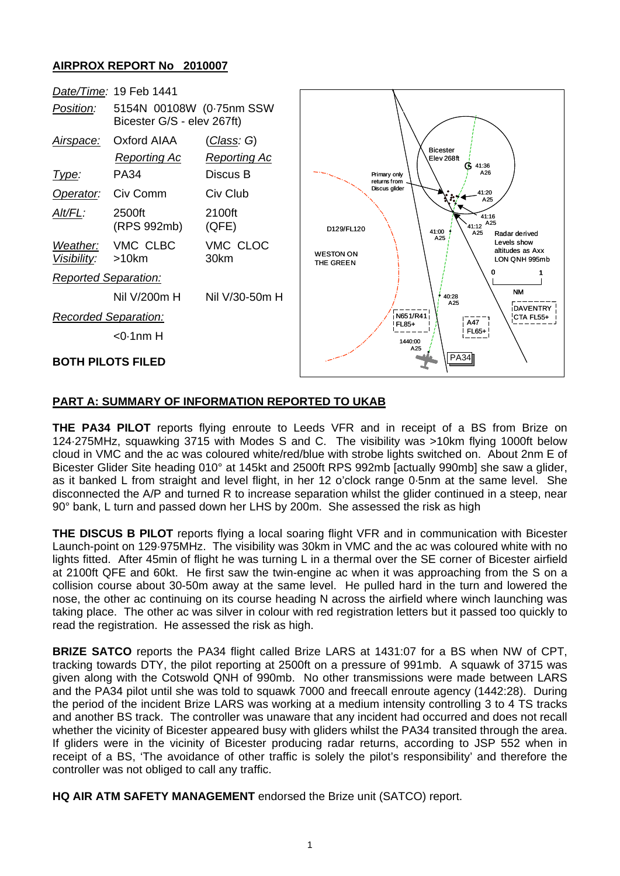## **AIRPROX REPORT No 2010007**



## **PART A: SUMMARY OF INFORMATION REPORTED TO UKAB**

**THE PA34 PILOT** reports flying enroute to Leeds VFR and in receipt of a BS from Brize on 124·275MHz, squawking 3715 with Modes S and C. The visibility was >10km flying 1000ft below cloud in VMC and the ac was coloured white/red/blue with strobe lights switched on. About 2nm E of Bicester Glider Site heading 010° at 145kt and 2500ft RPS 992mb [actually 990mb] she saw a glider, as it banked L from straight and level flight, in her 12 o'clock range 0·5nm at the same level. She disconnected the A/P and turned R to increase separation whilst the glider continued in a steep, near 90° bank, L turn and passed down her LHS by 200m. She assessed the risk as high

**THE DISCUS B PILOT** reports flying a local soaring flight VFR and in communication with Bicester Launch-point on 129·975MHz. The visibility was 30km in VMC and the ac was coloured white with no lights fitted. After 45min of flight he was turning L in a thermal over the SE corner of Bicester airfield at 2100ft QFE and 60kt. He first saw the twin-engine ac when it was approaching from the S on a collision course about 30-50m away at the same level. He pulled hard in the turn and lowered the nose, the other ac continuing on its course heading N across the airfield where winch launching was taking place. The other ac was silver in colour with red registration letters but it passed too quickly to read the registration. He assessed the risk as high.

**BRIZE SATCO** reports the PA34 flight called Brize LARS at 1431:07 for a BS when NW of CPT, tracking towards DTY, the pilot reporting at 2500ft on a pressure of 991mb. A squawk of 3715 was given along with the Cotswold QNH of 990mb. No other transmissions were made between LARS and the PA34 pilot until she was told to squawk 7000 and freecall enroute agency (1442:28). During the period of the incident Brize LARS was working at a medium intensity controlling 3 to 4 TS tracks and another BS track. The controller was unaware that any incident had occurred and does not recall whether the vicinity of Bicester appeared busy with gliders whilst the PA34 transited through the area. If gliders were in the vicinity of Bicester producing radar returns, according to JSP 552 when in receipt of a BS, 'The avoidance of other traffic is solely the pilot's responsibility' and therefore the controller was not obliged to call any traffic.

**HQ AIR ATM SAFETY MANAGEMENT** endorsed the Brize unit (SATCO) report.